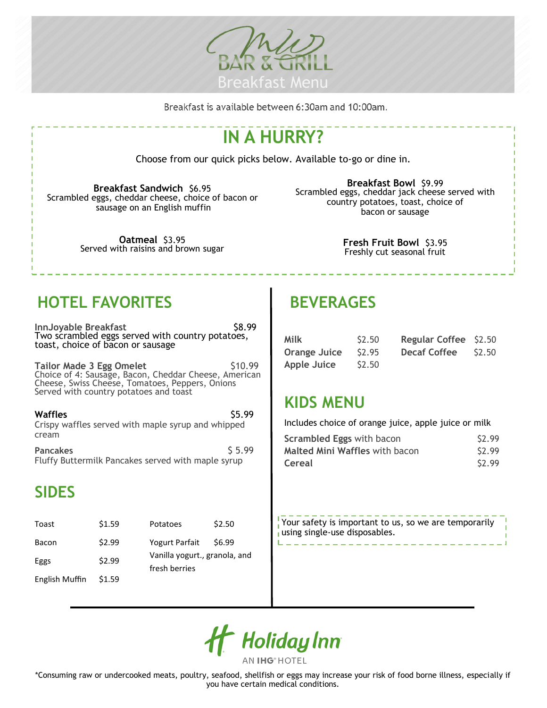

Breakfast is available between 6:30am and 10:00am.

# **IN A HURRY?**

Choose from our quick picks below. Available to-go or dine in.

**Breakfast Sandwich** \$6.95 Scrambled eggs, cheddar cheese, choice of bacon or sausage on an English muffin

> **Oatmeal** \$3.95 Served with raisins and brown sugar

**Breakfast Bowl** \$9.99 Scrambled eggs, cheddar jack cheese served with country potatoes, toast, choice of bacon or sausage

> **Fresh Fruit Bowl** \$3.95 Freshly cut seasonal fruit

## **HOTEL FAVORITES**

**InnJoyable Breakfast** 58.99 Two scrambled eggs served with country potatoes, toast, choice of bacon or sausage

Tailor Made 3 Egg Omelet \$10.99 Choice of 4: Sausage, Bacon, Cheddar Cheese, American Cheese, Swiss Cheese, Tomatoes, Peppers, Onions Served with country potatoes and toast

**Waffles 35.99** Crispy waffles served with maple syrup and whipped cream

**Pancakes** \$ 5.99 Fluffy Buttermilk Pancakes served with maple syrup

# **SIDES**

| Toast          | \$1.59 | Potatoes                                       | \$2.50 |
|----------------|--------|------------------------------------------------|--------|
| Bacon          | \$2.99 | <b>Yogurt Parfait</b>                          | \$6.99 |
| Eggs           | \$2.99 | Vanilla yogurt., granola, and<br>fresh berries |        |
| English Muffin | \$1.59 |                                                |        |

## **BEVERAGES**

| Milk         | \$2.50            | Regular Coffee \$2.50 |        |
|--------------|-------------------|-----------------------|--------|
| Orange Juice | S <sub>2.95</sub> | Decaf Coffee          | \$2.50 |
| Apple Juice  | \$2.50            |                       |        |

## **KIDS MENU**

Includes choice of orange juice, apple juice or milk

| <b>Scrambled Eggs with bacon</b>      | \$2.99            |
|---------------------------------------|-------------------|
| <b>Malted Mini Waffles with bacon</b> | S <sub>2.99</sub> |
| Cereal                                | S <sub>2.99</sub> |

Your safety is important to us, so we are temporarily using single-use disposables.

Holiday Inn AN IHG<sup>®</sup> HOTEL

\*Consuming raw or undercooked meats, poultry, seafood, shellfish or eggs may increase your risk of food borne illness, especially if you have certain medical conditions.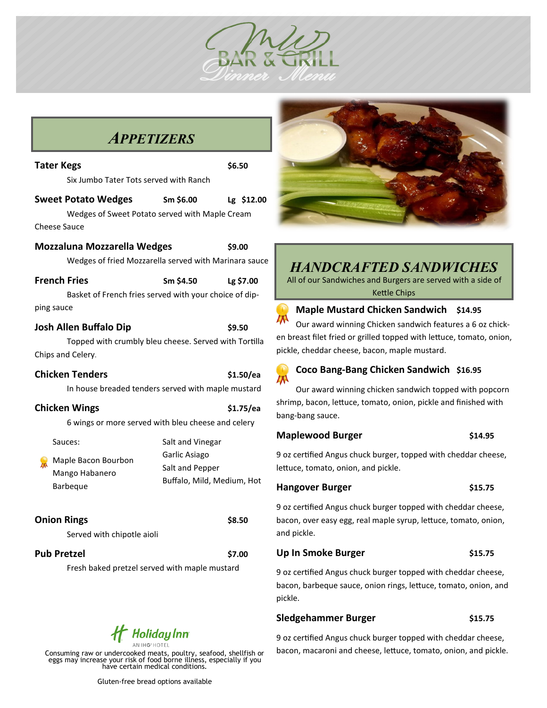

## *APPETIZERS*

| <b>Tater Kegs</b>                                                                                           |                                                                                    | \$6.50     |
|-------------------------------------------------------------------------------------------------------------|------------------------------------------------------------------------------------|------------|
| Six Jumbo Tater Tots served with Ranch                                                                      |                                                                                    |            |
| <b>Sweet Potato Wedges</b><br>Wedges of Sweet Potato served with Maple Cream<br>Cheese Sauce                | Sm \$6.00                                                                          | Lg \$12.00 |
| <b>Mozzaluna Mozzarella Wedges</b><br>Wedges of fried Mozzarella served with Marinara sauce                 |                                                                                    | \$9.00     |
| <b>French Fries</b><br>Basket of French fries served with your choice of dip-<br>ping sauce                 | Sm \$4.50                                                                          | Lg \$7.00  |
| <b>Josh Allen Buffalo Dip</b><br>Topped with crumbly bleu cheese. Served with Tortilla<br>Chips and Celery. |                                                                                    | \$9.50     |
| <b>Chicken Tenders</b><br>In house breaded tenders served with maple mustard                                |                                                                                    | \$1.50/ea  |
| <b>Chicken Wings</b><br>6 wings or more served with bleu cheese and celery                                  |                                                                                    | \$1.75/ea  |
| Sauces:<br>Maple Bacon Bourbon<br>Mango Habanero<br><b>Barbeque</b>                                         | Salt and Vinegar<br>Garlic Asiago<br>Salt and Pepper<br>Buffalo, Mild, Medium, Hot |            |
| <b>Onion Rings</b><br>Served with chipotle aioli                                                            |                                                                                    | \$8.50     |
| <b>Pub Pretzel</b><br>Fresh baked pretzel served with maple mustard                                         |                                                                                    | \$7.00     |



Consuming raw or undercooked meats, poultry, seafood, shellfish or eggs may increase your risk of food borne illness, especially if you have certain medical conditions.



## *HANDCRAFTED SANDWICHES*

All of our Sandwiches and Burgers are served with a side of Kettle Chips



## **Maple Mustard Chicken Sandwich \$14.95**

Our award winning Chicken sandwich features a 6 oz chicken breast filet fried or grilled topped with lettuce, tomato, onion, pickle, cheddar cheese, bacon, maple mustard.



#### **Coco Bang-Bang Chicken Sandwich \$16.95**

Our award winning chicken sandwich topped with popcorn shrimp, bacon, lettuce, tomato, onion, pickle and finished with bang-bang sauce.

#### **Maplewood Burger** \$14.95

9 oz certified Angus chuck burger, topped with cheddar cheese, lettuce, tomato, onion, and pickle.

#### **Hangover Burger 15.75**

9 oz certified Angus chuck burger topped with cheddar cheese, bacon, over easy egg, real maple syrup, lettuce, tomato, onion, and pickle.

#### **Up In Smoke Burger** \$15.75

9 oz certified Angus chuck burger topped with cheddar cheese, bacon, barbeque sauce, onion rings, lettuce, tomato, onion, and pickle.

**Sledgehammer Burger by Same Support States** \$15.75

9 oz certified Angus chuck burger topped with cheddar cheese, bacon, macaroni and cheese, lettuce, tomato, onion, and pickle.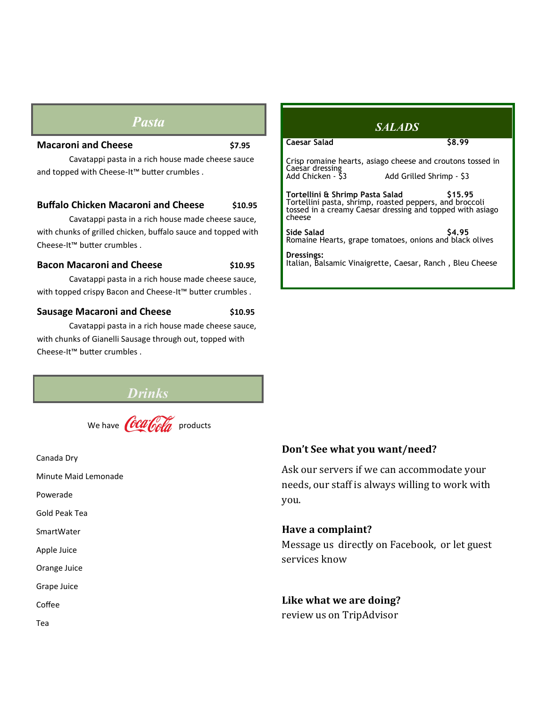## *Pasta*

#### **Macaroni and Cheese by S7.95**

Cavatappi pasta in a rich house made cheese sauce and topped with Cheese-It™ butter crumbles .

#### **Buffalo Chicken Macaroni and Cheese \$10.95**

Cavatappi pasta in a rich house made cheese sauce, with chunks of grilled chicken, buffalo sauce and topped with Cheese-It™ butter crumbles .

#### **Bacon Macaroni and Cheese 10.95**

Cavatappi pasta in a rich house made cheese sauce, with topped crispy Bacon and Cheese-It™ butter crumbles.

#### **Sausage Macaroni and Cheese 10.95**

Cavatappi pasta in a rich house made cheese sauce, with chunks of Gianelli Sausage through out, topped with Cheese-It™ butter crumbles .



| Canada Dry           |
|----------------------|
| Minute Maid Lemonade |
| Powerade             |
| Gold Peak Tea        |
| SmartWater           |
| Apple Juice          |
| Orange Juice         |
| Grape Juice          |
| Coffee               |
| Tea                  |

### **Don't See what you want/need?**

Ask our servers if we can accommodate your needs, our staff is always willing to work with you.

### **Have a complaint?**

Message us directly on Facebook, or let guest services know

**Like what we are doing?** review us on TripAdvisor

#### **Caesar Salad \$8.99** *SALADS*

Crisp romaine hearts, asiago cheese and croutons tossed in Caesar dressing<br>Add Chicken - \$3

Add Grilled Shrimp - \$3

**Tortellini & Shrimp Pasta Salad \$15.95** Tortellini pasta, shrimp, roasted peppers, and broccoli tossed in a creamy Caesar dressing and topped with asiago cheese

**Side Salad \$4.95** Romaine Hearts, grape tomatoes, onions and black olives

**Dressings:**  Italian, Balsamic Vinaigrette, Caesar, Ranch , Bleu Cheese